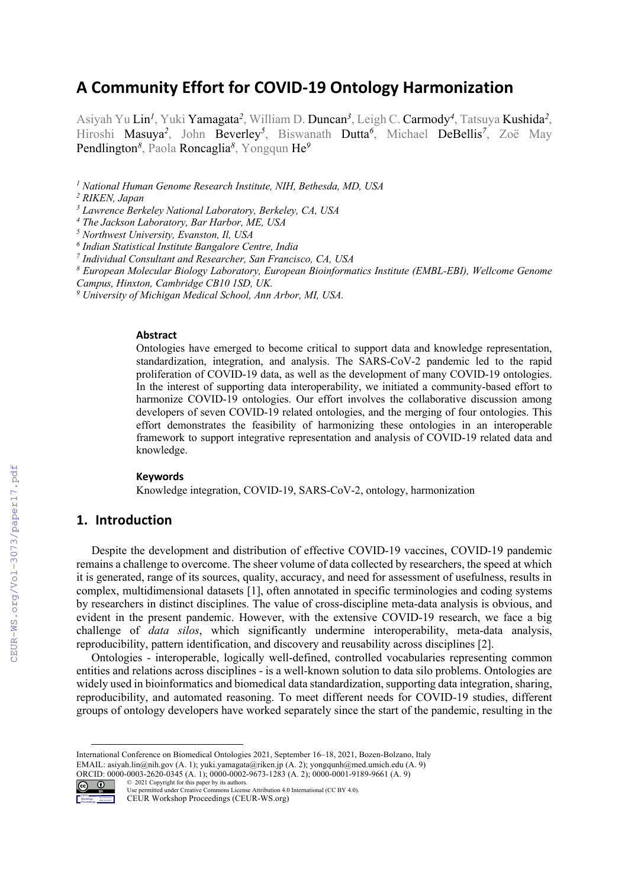# **A Community Effort for COVID-19 Ontology Harmonization**

Asiyah Yu Lin*<sup>1</sup>* , Yuki Yamagata*<sup>2</sup>* , William D. Duncan*<sup>3</sup>* , Leigh C. Carmody*<sup>4</sup>* , Tatsuya Kushida*<sup>2</sup>* , Hiroshi Masuya*<sup>2</sup>* , John Beverley*<sup>5</sup>* , Biswanath Dutta*<sup>6</sup>* , Michael DeBellis*<sup>7</sup>* , Zoë May Pendlington*<sup>8</sup>* , Paola Roncaglia*<sup>8</sup>* , Yongqun He*<sup>9</sup>*

*<sup>1</sup> National Human Genome Research Institute, NIH, Bethesda, MD, USA*

*<sup>3</sup> Lawrence Berkeley National Laboratory, Berkeley, CA, USA*

*<sup>4</sup> The Jackson Laboratory, Bar Harbor, ME, USA* 

*<sup>5</sup> Northwest University, Evanston, Il, USA*

*<sup>6</sup> Indian Statistical Institute Bangalore Centre, India*

*<sup>7</sup> Individual Consultant and Researcher, San Francisco, CA, USA*

*<sup>8</sup> European Molecular Biology Laboratory, European Bioinformatics Institute (EMBL-EBI), Wellcome Genome Campus, Hinxton, Cambridge CB10 1SD, UK.*

*<sup>9</sup> University of Michigan Medical School, Ann Arbor, MI, USA.*

#### **Abstract**

Ontologies have emerged to become critical to support data and knowledge representation, standardization, integration, and analysis. The SARS-CoV-2 pandemic led to the rapid proliferation of COVID-19 data, as well as the development of many COVID-19 ontologies. In the interest of supporting data interoperability, we initiated a community-based effort to harmonize COVID-19 ontologies. Our effort involves the collaborative discussion among developers of seven COVID-19 related ontologies, and the merging of four ontologies. This effort demonstrates the feasibility of harmonizing these ontologies in an interoperable framework to support integrative representation and analysis of COVID-19 related data and knowledge.

#### **Keywords 1**

Knowledge integration, COVID-19, SARS-CoV-2, ontology, harmonization

# **1. Introduction**

Despite the development and distribution of effective COVID-19 vaccines, COVID-19 pandemic remains a challenge to overcome. The sheer volume of data collected by researchers, the speed at which it is generated, range of its sources, quality, accuracy, and need for assessment of usefulness, results in complex, multidimensional datasets [1], often annotated in specific terminologies and coding systems by researchers in distinct disciplines. The value of cross-discipline meta-data analysis is obvious, and evident in the present pandemic. However, with the extensive COVID-19 research, we face a big challenge of *data silos*, which significantly undermine interoperability, meta-data analysis, reproducibility, pattern identification, and discovery and reusability across disciplines [2].

Ontologies - interoperable, logically well-defined, controlled vocabularies representing common entities and relations across disciplines - is a well-known solution to data silo problems. Ontologies are widely used in bioinformatics and biomedical data standardization, supporting data integration, sharing, reproducibility, and automated reasoning. To meet different needs for COVID-19 studies, different groups of ontology developers have worked separately since the start of the pandemic, resulting in the

ORCID: 0000-0003-2620-0345 (A. 1); 0000-0002-9673-1283 (A. 2); 0000-0001-9189-9661 (A. 9)



<sup>©</sup> 2021 Copyright for this paper by its authors. Use permitted under Creative Commons License Attribution 4.0 International (CC BY 4.0). CEUR Workshop Proceedings (CEUR-WS.org)

*<sup>2</sup> RIKEN, Japan*

International Conference on Biomedical Ontologies 2021, September 16–18, 2021, Bozen-Bolzano, Italy EMAIL: asiyah.lin@nih.gov (A. 1); yuki.yamagata@riken.jp (A. 2); yongqunh@med.umich.edu (A. 9)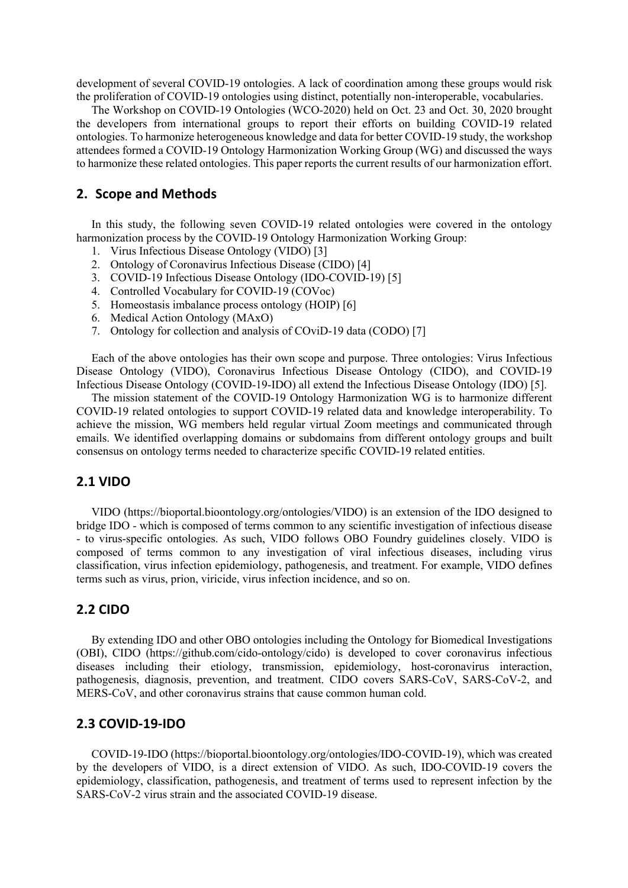development of several COVID-19 ontologies. A lack of coordination among these groups would risk the proliferation of COVID-19 ontologies using distinct, potentially non-interoperable, vocabularies.

The Workshop on COVID-19 Ontologies (WCO-2020) held on Oct. 23 and Oct. 30, 2020 brought the developers from international groups to report their efforts on building COVID-19 related ontologies. To harmonize heterogeneous knowledge and data for better COVID-19 study, the workshop attendees formed a COVID-19 Ontology Harmonization Working Group (WG) and discussed the ways to harmonize these related ontologies. This paper reports the current results of our harmonization effort.

# **2. Scope and Methods**

In this study, the following seven COVID-19 related ontologies were covered in the ontology harmonization process by the COVID-19 Ontology Harmonization Working Group:

- 1. Virus Infectious Disease Ontology (VIDO) [3]
- 2. Ontology of Coronavirus Infectious Disease (CIDO) [4]
- 3. COVID-19 Infectious Disease Ontology (IDO-COVID-19) [5]
- 4. Controlled Vocabulary for COVID-19 (COVoc)
- 5. Homeostasis imbalance process ontology (HOIP) [6]
- 6. Medical Action Ontology (MAxO)
- 7. Ontology for collection and analysis of COviD-19 data (CODO) [7]

Each of the above ontologies has their own scope and purpose. Three ontologies: Virus Infectious Disease Ontology (VIDO), Coronavirus Infectious Disease Ontology (CIDO), and COVID-19 Infectious Disease Ontology (COVID-19-IDO) all extend the Infectious Disease Ontology (IDO) [5].

The mission statement of the COVID-19 Ontology Harmonization WG is to harmonize different COVID-19 related ontologies to support COVID-19 related data and knowledge interoperability. To achieve the mission, WG members held regular virtual Zoom meetings and communicated through emails. We identified overlapping domains or subdomains from different ontology groups and built consensus on ontology terms needed to characterize specific COVID-19 related entities.

# **2.1 VIDO**

VIDO (https://bioportal.bioontology.org/ontologies/VIDO) is an extension of the IDO designed to bridge IDO - which is composed of terms common to any scientific investigation of infectious disease - to virus-specific ontologies. As such, VIDO follows OBO Foundry guidelines closely. VIDO is composed of terms common to any investigation of viral infectious diseases, including virus classification, virus infection epidemiology, pathogenesis, and treatment. For example, VIDO defines terms such as virus, prion, viricide, virus infection incidence, and so on.

## **2.2 CIDO**

By extending IDO and other OBO ontologies including the Ontology for Biomedical Investigations (OBI), CIDO (https://github.com/cido-ontology/cido) is developed to cover coronavirus infectious diseases including their etiology, transmission, epidemiology, host-coronavirus interaction, pathogenesis, diagnosis, prevention, and treatment. CIDO covers SARS-CoV, SARS-CoV-2, and MERS-CoV, and other coronavirus strains that cause common human cold.

#### **2.3 COVID-19-IDO**

COVID-19-IDO (https://bioportal.bioontology.org/ontologies/IDO-COVID-19), which was created by the developers of VIDO, is a direct extension of VIDO. As such, IDO-COVID-19 covers the epidemiology, classification, pathogenesis, and treatment of terms used to represent infection by the SARS-CoV-2 virus strain and the associated COVID-19 disease.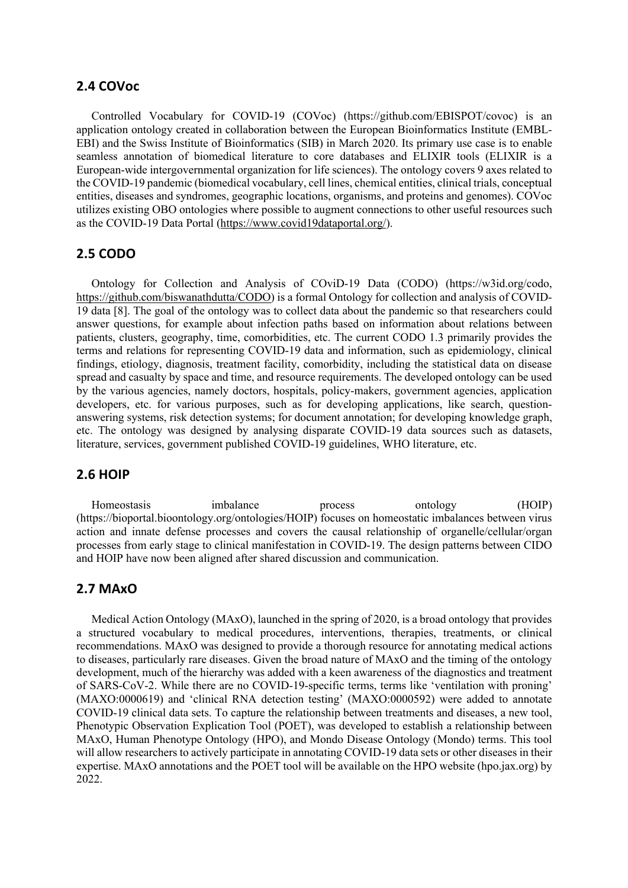# **2.4 COVoc**

Controlled Vocabulary for COVID-19 (COVoc) (https://github.com/EBISPOT/covoc) is an application ontology created in collaboration between the European Bioinformatics Institute (EMBL-EBI) and the Swiss Institute of Bioinformatics (SIB) in March 2020. Its primary use case is to enable seamless annotation of biomedical literature to core databases and ELIXIR tools (ELIXIR is a European-wide intergovernmental organization for life sciences). The ontology covers 9 axes related to the COVID-19 pandemic (biomedical vocabulary, cell lines, chemical entities, clinical trials, conceptual entities, diseases and syndromes, geographic locations, organisms, and proteins and genomes). COVoc utilizes existing OBO ontologies where possible to augment connections to other useful resources such as the COVID-19 Data Portal (https://www.covid19dataportal.org/).

#### **2.5 CODO**

Ontology for Collection and Analysis of COviD-19 Data (CODO) (https://w3id.org/codo, https://github.com/biswanathdutta/CODO) is a formal Ontology for collection and analysis of COVID-19 data [8]. The goal of the ontology was to collect data about the pandemic so that researchers could answer questions, for example about infection paths based on information about relations between patients, clusters, geography, time, comorbidities, etc. The current CODO 1.3 primarily provides the terms and relations for representing COVID-19 data and information, such as epidemiology, clinical findings, etiology, diagnosis, treatment facility, comorbidity, including the statistical data on disease spread and casualty by space and time, and resource requirements. The developed ontology can be used by the various agencies, namely doctors, hospitals, policy-makers, government agencies, application developers, etc. for various purposes, such as for developing applications, like search, questionanswering systems, risk detection systems; for document annotation; for developing knowledge graph, etc. The ontology was designed by analysing disparate COVID-19 data sources such as datasets, literature, services, government published COVID-19 guidelines, WHO literature, etc.

#### **2.6 HOIP**

Homeostasis imbalance process ontology (HOIP) (https://bioportal.bioontology.org/ontologies/HOIP) focuses on homeostatic imbalances between virus action and innate defense processes and covers the causal relationship of organelle/cellular/organ processes from early stage to clinical manifestation in COVID-19. The design patterns between CIDO and HOIP have now been aligned after shared discussion and communication.

#### **2.7 MAxO**

Medical Action Ontology (MAxO), launched in the spring of 2020, is a broad ontology that provides a structured vocabulary to medical procedures, interventions, therapies, treatments, or clinical recommendations. MAxO was designed to provide a thorough resource for annotating medical actions to diseases, particularly rare diseases. Given the broad nature of MAxO and the timing of the ontology development, much of the hierarchy was added with a keen awareness of the diagnostics and treatment of SARS-CoV-2. While there are no COVID-19-specific terms, terms like 'ventilation with proning' (MAXO:0000619) and 'clinical RNA detection testing' (MAXO:0000592) were added to annotate COVID-19 clinical data sets. To capture the relationship between treatments and diseases, a new tool, Phenotypic Observation Explication Tool (POET), was developed to establish a relationship between MAxO, Human Phenotype Ontology (HPO), and Mondo Disease Ontology (Mondo) terms. This tool will allow researchers to actively participate in annotating COVID-19 data sets or other diseases in their expertise. MAxO annotations and the POET tool will be available on the HPO website (hpo.jax.org) by 2022.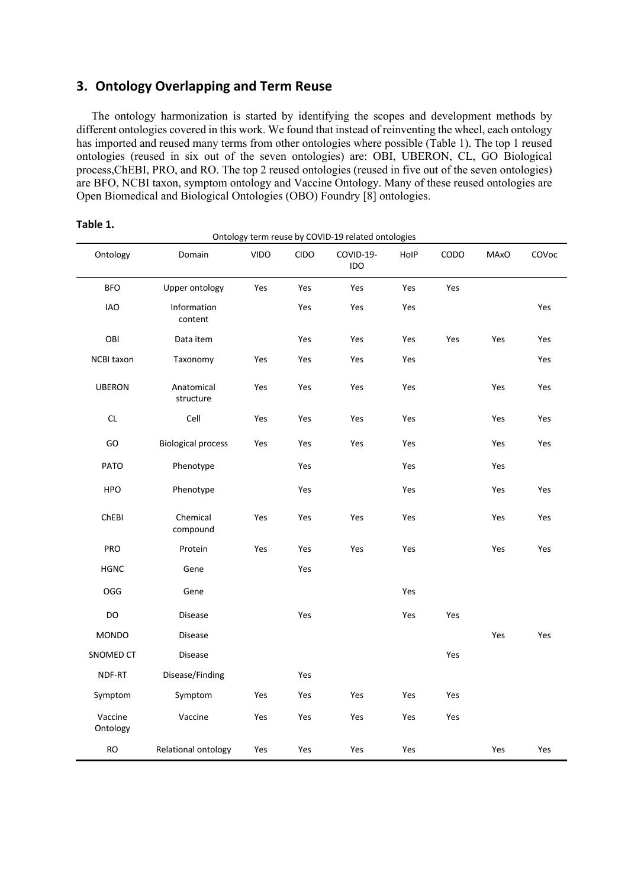# **3. Ontology Overlapping and Term Reuse**

The ontology harmonization is started by identifying the scopes and development methods by different ontologies covered in this work. We found that instead of reinventing the wheel, each ontology has imported and reused many terms from other ontologies where possible (Table 1). The top 1 reused ontologies (reused in six out of the seven ontologies) are: OBI, UBERON, CL, GO Biological process,ChEBI, PRO, and RO. The top 2 reused ontologies (reused in five out of the seven ontologies) are BFO, NCBI taxon, symptom ontology and Vaccine Ontology. Many of these reused ontologies are Open Biomedical and Biological Ontologies (OBO) Foundry [8] ontologies.

|                     |                           | Ontology term reuse by COVID-19 related ontologies |             |                         |      |      |             |       |
|---------------------|---------------------------|----------------------------------------------------|-------------|-------------------------|------|------|-------------|-------|
| Ontology            | Domain                    | <b>VIDO</b>                                        | <b>CIDO</b> | COVID-19-<br><b>IDO</b> | HolP | CODO | <b>MAxO</b> | COVoc |
| <b>BFO</b>          | Upper ontology            | Yes                                                | Yes         | Yes                     | Yes  | Yes  |             |       |
| <b>IAO</b>          | Information<br>content    |                                                    | Yes         | Yes                     | Yes  |      |             | Yes   |
| OBI                 | Data item                 |                                                    | Yes         | Yes                     | Yes  | Yes  | Yes         | Yes   |
| <b>NCBI</b> taxon   | Taxonomy                  | Yes                                                | Yes         | Yes                     | Yes  |      |             | Yes   |
| <b>UBERON</b>       | Anatomical<br>structure   | Yes                                                | Yes         | Yes                     | Yes  |      | Yes         | Yes   |
| CL                  | Cell                      | Yes                                                | Yes         | Yes                     | Yes  |      | Yes         | Yes   |
| GO                  | <b>Biological process</b> | Yes                                                | Yes         | Yes                     | Yes  |      | Yes         | Yes   |
| <b>PATO</b>         | Phenotype                 |                                                    | Yes         |                         | Yes  |      | Yes         |       |
| <b>HPO</b>          | Phenotype                 |                                                    | Yes         |                         | Yes  |      | Yes         | Yes   |
| ChEBI               | Chemical<br>compound      | Yes                                                | Yes         | Yes                     | Yes  |      | Yes         | Yes   |
| <b>PRO</b>          | Protein                   | Yes                                                | Yes         | Yes                     | Yes  |      | Yes         | Yes   |
| <b>HGNC</b>         | Gene                      |                                                    | Yes         |                         |      |      |             |       |
| OGG                 | Gene                      |                                                    |             |                         | Yes  |      |             |       |
| DO                  | <b>Disease</b>            |                                                    | Yes         |                         | Yes  | Yes  |             |       |
| <b>MONDO</b>        | <b>Disease</b>            |                                                    |             |                         |      |      | Yes         | Yes   |
| SNOMED CT           | <b>Disease</b>            |                                                    |             |                         |      | Yes  |             |       |
| NDF-RT              | Disease/Finding           |                                                    | Yes         |                         |      |      |             |       |
| Symptom             | Symptom                   | Yes                                                | Yes         | Yes                     | Yes  | Yes  |             |       |
| Vaccine<br>Ontology | Vaccine                   | Yes                                                | Yes         | Yes                     | Yes  | Yes  |             |       |
| <b>RO</b>           | Relational ontology       | Yes                                                | Yes         | Yes                     | Yes  |      | Yes         | Yes   |

#### **Table 1.**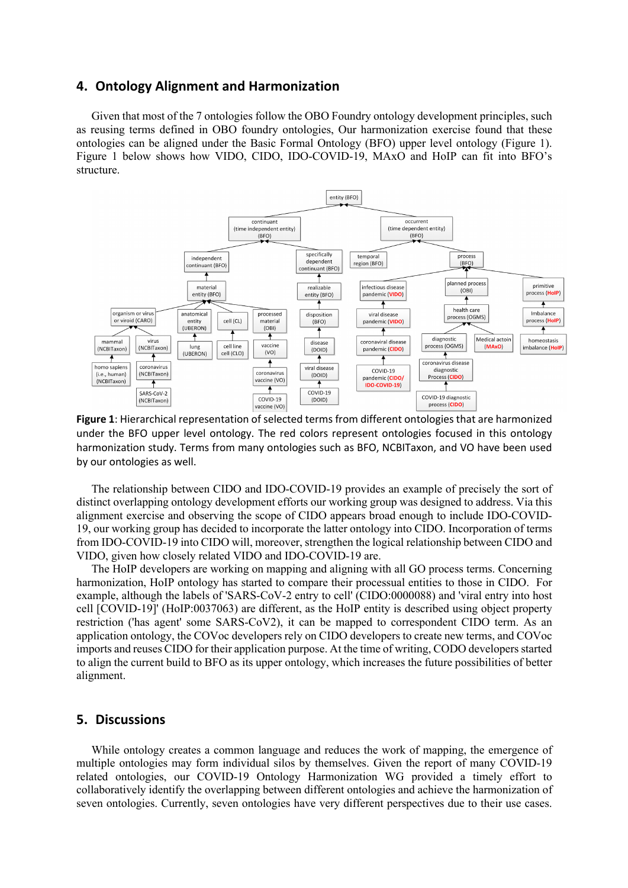### **4. Ontology Alignment and Harmonization**

Given that most of the 7 ontologies follow the OBO Foundry ontology development principles, such as reusing terms defined in OBO foundry ontologies, Our harmonization exercise found that these ontologies can be aligned under the Basic Formal Ontology (BFO) upper level ontology (Figure 1). Figure 1 below shows how VIDO, CIDO, IDO-COVID-19, MAxO and HoIP can fit into BFO's structure.



**Figure 1**: Hierarchical representation of selected terms from different ontologies that are harmonized under the BFO upper level ontology. The red colors represent ontologies focused in this ontology harmonization study. Terms from many ontologies such as BFO, NCBITaxon, and VO have been used by our ontologies as well.

The relationship between CIDO and IDO-COVID-19 provides an example of precisely the sort of distinct overlapping ontology development efforts our working group was designed to address. Via this alignment exercise and observing the scope of CIDO appears broad enough to include IDO-COVID-19, our working group has decided to incorporate the latter ontology into CIDO. Incorporation of terms from IDO-COVID-19 into CIDO will, moreover, strengthen the logical relationship between CIDO and VIDO, given how closely related VIDO and IDO-COVID-19 are.

The HoIP developers are working on mapping and aligning with all GO process terms. Concerning harmonization, HoIP ontology has started to compare their processual entities to those in CIDO. For example, although the labels of 'SARS-CoV-2 entry to cell' (CIDO:0000088) and 'viral entry into host cell [COVID-19]' (HoIP:0037063) are different, as the HoIP entity is described using object property restriction ('has agent' some SARS-CoV2), it can be mapped to correspondent CIDO term. As an application ontology, the COVoc developers rely on CIDO developers to create new terms, and COVoc imports and reuses CIDO for their application purpose. At the time of writing, CODO developers started to align the current build to BFO as its upper ontology, which increases the future possibilities of better alignment.

#### **5. Discussions**

While ontology creates a common language and reduces the work of mapping, the emergence of multiple ontologies may form individual silos by themselves. Given the report of many COVID-19 related ontologies, our COVID-19 Ontology Harmonization WG provided a timely effort to collaboratively identify the overlapping between different ontologies and achieve the harmonization of seven ontologies. Currently, seven ontologies have very different perspectives due to their use cases.